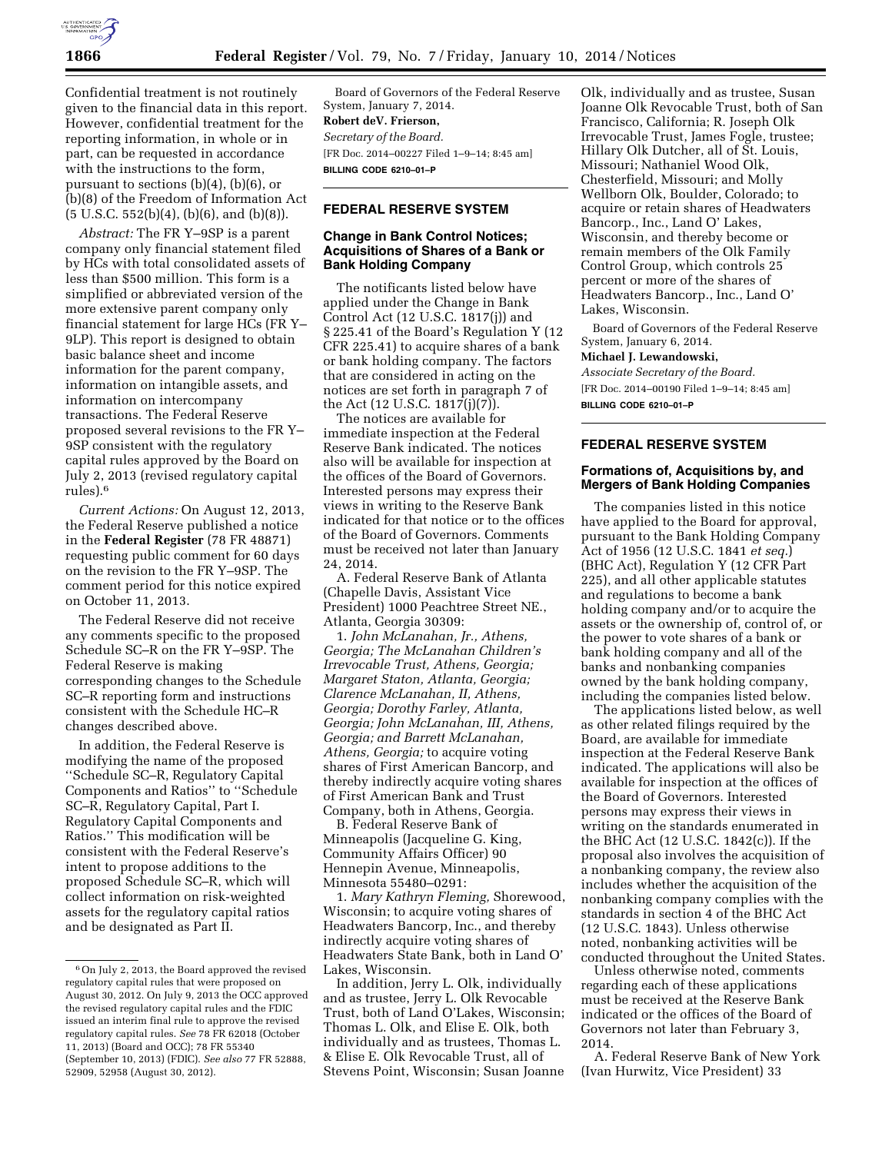

Confidential treatment is not routinely given to the financial data in this report. However, confidential treatment for the reporting information, in whole or in part, can be requested in accordance with the instructions to the form, pursuant to sections (b)(4), (b)(6), or (b)(8) of the Freedom of Information Act  $(5 \text{ U.S.C. } 552(b)(4), (b)(6), \text{ and } (b)(8)).$ 

*Abstract:* The FR Y–9SP is a parent company only financial statement filed by HCs with total consolidated assets of less than \$500 million. This form is a simplified or abbreviated version of the more extensive parent company only financial statement for large HCs (FR Y– 9LP). This report is designed to obtain basic balance sheet and income information for the parent company, information on intangible assets, and information on intercompany transactions. The Federal Reserve proposed several revisions to the FR Y– 9SP consistent with the regulatory capital rules approved by the Board on July 2, 2013 (revised regulatory capital rules).6

*Current Actions:* On August 12, 2013, the Federal Reserve published a notice in the **Federal Register** (78 FR 48871) requesting public comment for 60 days on the revision to the FR Y–9SP. The comment period for this notice expired on October 11, 2013.

The Federal Reserve did not receive any comments specific to the proposed Schedule SC–R on the FR Y–9SP. The Federal Reserve is making corresponding changes to the Schedule SC–R reporting form and instructions consistent with the Schedule HC–R changes described above.

In addition, the Federal Reserve is modifying the name of the proposed ''Schedule SC–R, Regulatory Capital Components and Ratios'' to ''Schedule SC–R, Regulatory Capital, Part I. Regulatory Capital Components and Ratios.'' This modification will be consistent with the Federal Reserve's intent to propose additions to the proposed Schedule SC–R, which will collect information on risk-weighted assets for the regulatory capital ratios and be designated as Part II.

Board of Governors of the Federal Reserve System, January 7, 2014. **Robert deV. Frierson,**  *Secretary of the Board.*  [FR Doc. 2014–00227 Filed 1–9–14; 8:45 am] **BILLING CODE 6210–01–P** 

## **FEDERAL RESERVE SYSTEM**

### **Change in Bank Control Notices; Acquisitions of Shares of a Bank or Bank Holding Company**

The notificants listed below have applied under the Change in Bank Control Act (12 U.S.C. 1817(j)) and § 225.41 of the Board's Regulation Y (12 CFR 225.41) to acquire shares of a bank or bank holding company. The factors that are considered in acting on the notices are set forth in paragraph 7 of the Act (12 U.S.C. 1817(j)(7)).

The notices are available for immediate inspection at the Federal Reserve Bank indicated. The notices also will be available for inspection at the offices of the Board of Governors. Interested persons may express their views in writing to the Reserve Bank indicated for that notice or to the offices of the Board of Governors. Comments must be received not later than January 24, 2014.

A. Federal Reserve Bank of Atlanta (Chapelle Davis, Assistant Vice President) 1000 Peachtree Street NE., Atlanta, Georgia 30309:

1. *John McLanahan, Jr., Athens, Georgia; The McLanahan Children's Irrevocable Trust, Athens, Georgia; Margaret Staton, Atlanta, Georgia; Clarence McLanahan, II, Athens, Georgia; Dorothy Farley, Atlanta, Georgia; John McLanahan, III, Athens, Georgia; and Barrett McLanahan, Athens, Georgia;* to acquire voting shares of First American Bancorp, and thereby indirectly acquire voting shares of First American Bank and Trust Company, both in Athens, Georgia.

B. Federal Reserve Bank of Minneapolis (Jacqueline G. King, Community Affairs Officer) 90 Hennepin Avenue, Minneapolis, Minnesota 55480–0291:

1. *Mary Kathryn Fleming,* Shorewood, Wisconsin; to acquire voting shares of Headwaters Bancorp, Inc., and thereby indirectly acquire voting shares of Headwaters State Bank, both in Land O' Lakes, Wisconsin.

In addition, Jerry L. Olk, individually and as trustee, Jerry L. Olk Revocable Trust, both of Land O'Lakes, Wisconsin; Thomas L. Olk, and Elise E. Olk, both individually and as trustees, Thomas L. & Elise E. Olk Revocable Trust, all of Stevens Point, Wisconsin; Susan Joanne

Olk, individually and as trustee, Susan Joanne Olk Revocable Trust, both of San Francisco, California; R. Joseph Olk Irrevocable Trust, James Fogle, trustee; Hillary Olk Dutcher, all of St. Louis, Missouri; Nathaniel Wood Olk, Chesterfield, Missouri; and Molly Wellborn Olk, Boulder, Colorado; to acquire or retain shares of Headwaters Bancorp., Inc., Land O' Lakes, Wisconsin, and thereby become or remain members of the Olk Family Control Group, which controls 25 percent or more of the shares of Headwaters Bancorp., Inc., Land O' Lakes, Wisconsin.

Board of Governors of the Federal Reserve System, January 6, 2014.

#### **Michael J. Lewandowski,**

*Associate Secretary of the Board.*  [FR Doc. 2014–00190 Filed 1–9–14; 8:45 am] **BILLING CODE 6210–01–P** 

# **FEDERAL RESERVE SYSTEM**

### **Formations of, Acquisitions by, and Mergers of Bank Holding Companies**

The companies listed in this notice have applied to the Board for approval, pursuant to the Bank Holding Company Act of 1956 (12 U.S.C. 1841 *et seq.*) (BHC Act), Regulation Y (12 CFR Part 225), and all other applicable statutes and regulations to become a bank holding company and/or to acquire the assets or the ownership of, control of, or the power to vote shares of a bank or bank holding company and all of the banks and nonbanking companies owned by the bank holding company, including the companies listed below.

The applications listed below, as well as other related filings required by the Board, are available for immediate inspection at the Federal Reserve Bank indicated. The applications will also be available for inspection at the offices of the Board of Governors. Interested persons may express their views in writing on the standards enumerated in the BHC Act (12 U.S.C. 1842(c)). If the proposal also involves the acquisition of a nonbanking company, the review also includes whether the acquisition of the nonbanking company complies with the standards in section 4 of the BHC Act (12 U.S.C. 1843). Unless otherwise noted, nonbanking activities will be conducted throughout the United States.

Unless otherwise noted, comments regarding each of these applications must be received at the Reserve Bank indicated or the offices of the Board of Governors not later than February 3, 2014.

A. Federal Reserve Bank of New York (Ivan Hurwitz, Vice President) 33

<sup>6</sup>On July 2, 2013, the Board approved the revised regulatory capital rules that were proposed on August 30, 2012. On July 9, 2013 the OCC approved the revised regulatory capital rules and the FDIC issued an interim final rule to approve the revised regulatory capital rules. *See* 78 FR 62018 (October 11, 2013) (Board and OCC); 78 FR 55340 (September 10, 2013) (FDIC). *See also* 77 FR 52888, 52909, 52958 (August 30, 2012).